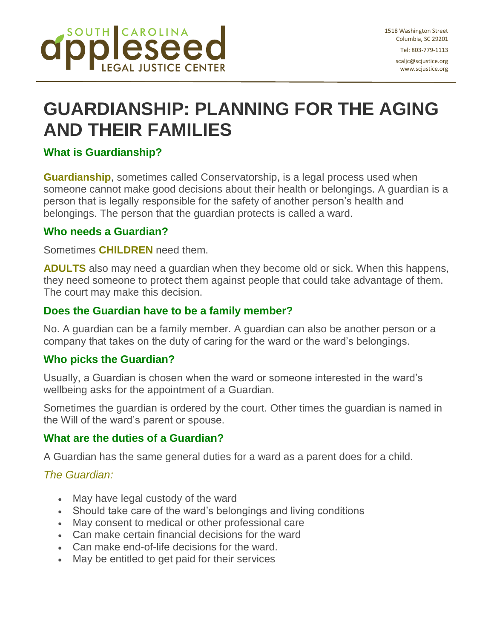

scaljc@scjustice.org www.scjustice.org

# **GUARDIANSHIP: PLANNING FOR THE AGING AND THEIR FAMILIES**

## **What is Guardianship?**

**Guardianship**, sometimes called Conservatorship, is a legal process used when someone cannot make good decisions about their health or belongings. A guardian is a person that is legally responsible for the safety of another person's health and belongings. The person that the guardian protects is called a ward.

#### **Who needs a Guardian?**

Sometimes **CHILDREN** need them.

**ADULTS** also may need a guardian when they become old or sick. When this happens, they need someone to protect them against people that could take advantage of them. The court may make this decision.

#### **Does the Guardian have to be a family member?**

No. A guardian can be a family member. A guardian can also be another person or a company that takes on the duty of caring for the ward or the ward's belongings.

#### **Who picks the Guardian?**

Usually, a Guardian is chosen when the ward or someone interested in the ward's wellbeing asks for the appointment of a Guardian.

Sometimes the guardian is ordered by the court. Other times the guardian is named in the Will of the ward's parent or spouse.

### **What are the duties of a Guardian?**

A Guardian has the same general duties for a ward as a parent does for a child.

### *The Guardian:*

- May have legal custody of the ward
- Should take care of the ward's belongings and living conditions
- May consent to medical or other professional care
- Can make certain financial decisions for the ward
- Can make end-of-life decisions for the ward.
- May be entitled to get paid for their services